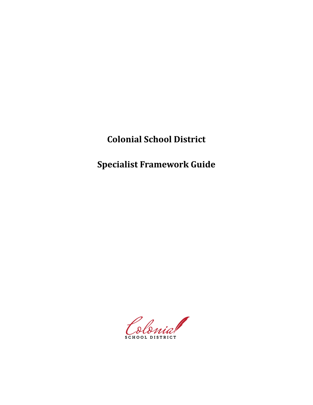**Colonial School District**

**Specialist Framework Guide**

Colonial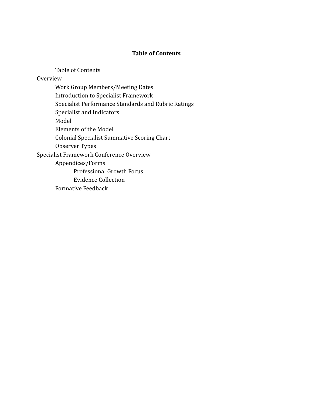### **Table of Contents**

Table of Contents Overview Work Group Members/Meeting Dates Introduction to Specialist Framework Specialist Performance Standards and Rubric Ratings Specialist and Indicators Model Elements of the Model Colonial Specialist Summative Scoring Chart Observer Types Specialist Framework Conference Overview Appendices/Forms Professional Growth Focus Evidence Collection Formative Feedback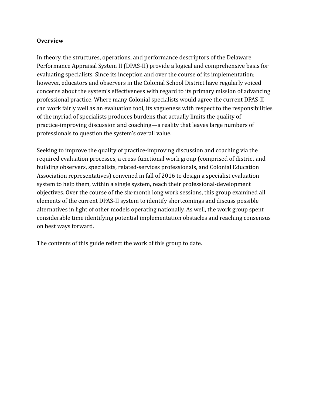### **Overview**

In theory, the structures, operations, and performance descriptors of the Delaware Performance Appraisal System II (DPAS-II) provide a logical and comprehensive basis for evaluating specialists. Since its inception and over the course of its implementation; however, educators and observers in the Colonial School District have regularly voiced concerns about the system's effectiveness with regard to its primary mission of advancing professional practice. Where many Colonial specialists would agree the current DPAS-II can work fairly well as an evaluation tool, its vagueness with respect to the responsibilities of the myriad of specialists produces burdens that actually limits the quality of practice-improving discussion and coaching—a reality that leaves large numbers of professionals to question the system's overall value.

Seeking to improve the quality of practice-improving discussion and coaching via the required evaluation processes, a cross-functional work group (comprised of district and building observers, specialists, related-services professionals, and Colonial Education Association representatives) convened in fall of 2016 to design a specialist evaluation system to help them, within a single system, reach their professional-development objectives. Over the course of the six-month long work sessions, this group examined all elements of the current DPAS-II system to identify shortcomings and discuss possible alternatives in light of other models operating nationally. As well, the work group spent considerable time identifying potential implementation obstacles and reaching consensus on best ways forward.

The contents of this guide reflect the work of this group to date.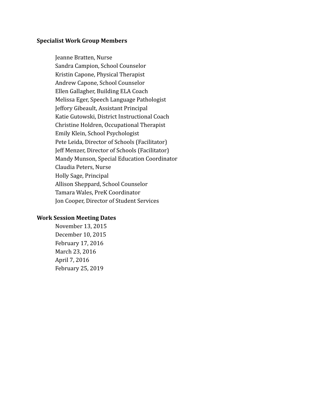### **Specialist Work Group Members**

Jeanne Bratten, Nurse Sandra Campion, School Counselor Kristin Capone, Physical Therapist Andrew Capone, School Counselor Ellen Gallagher, Building ELA Coach Melissa Eger, Speech Language Pathologist Jeffory Gibeault, Assistant Principal Katie Gutowski, District Instructional Coach Christine Holdren, Occupational Therapist Emily Klein, School Psychologist Pete Leida, Director of Schools (Facilitator) Jeff Menzer, Director of Schools (Facilitator) Mandy Munson, Special Education Coordinator Claudia Peters, Nurse Holly Sage, Principal Allison Sheppard, School Counselor Tamara Wales, PreK Coordinator Jon Cooper, Director of Student Services

### **Work Session Meeting Dates**

November 13, 2015 December 10, 2015 February 17, 2016 March 23, 2016 April 7, 2016 February 25, 2019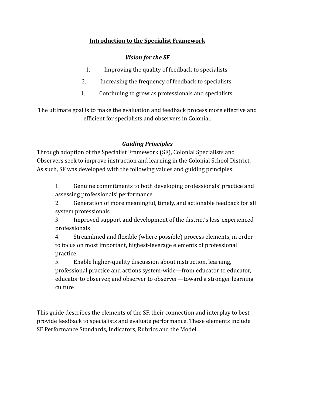# **Introduction to the Specialist Framework**

# *Vision for the SF*

- 1. Improving the quality of feedback to specialists
- 2. Increasing the frequency of feedback to specialists
- 1. Continuing to grow as professionals and specialists

The ultimate goal is to make the evaluation and feedback process more effective and efficient for specialists and observers in Colonial.

# *Guiding Principles*

Through adoption of the Specialist Framework (SF), Colonial Specialists and Observers seek to improve instruction and learning in the Colonial School District. As such, SF was developed with the following values and guiding principles:

1. Genuine commitments to both developing professionals' practice and assessing professionals' performance

2. Generation of more meaningful, timely, and actionable feedback for all system professionals

3. Improved support and development of the district's less-experienced professionals

4. Streamlined and flexible (where possible) process elements, in order to focus on most important, highest-leverage elements of professional practice

5. Enable higher-quality discussion about instruction, learning, professional practice and actions system-wide—from educator to educator, educator to observer, and observer to observer—toward a stronger learning culture

This guide describes the elements of the SF, their connection and interplay to best provide feedback to specialists and evaluate performance. These elements include SF Performance Standards, Indicators, Rubrics and the Model.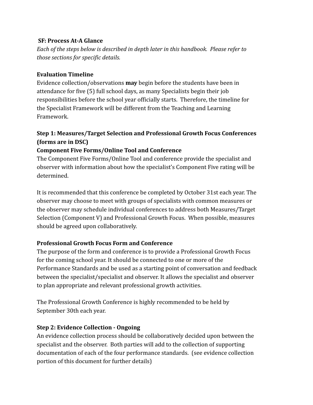### **SF: Process At-A Glance**

*Each of the steps below is described in depth later in this handbook. Please refer to those sections for specific details.*

# **Evaluation Timeline**

Evidence collection/observations **may** begin before the students have been in attendance for five (5) full school days, as many Specialists begin their job responsibilities before the school year officially starts. Therefore, the timeline for the Specialist Framework will be different from the Teaching and Learning Framework.

# **Step 1: Measures/Target Selection and Professional Growth Focus Conferences (forms are in DSC)**

# **Component Five Forms/Online Tool and Conference**

The Component Five Forms/Online Tool and conference provide the specialist and observer with information about how the specialist's Component Five rating will be determined.

It is recommended that this conference be completed by October 31st each year. The observer may choose to meet with groups of specialists with common measures or the observer may schedule individual conferences to address both Measures/Target Selection (Component V) and Professional Growth Focus. When possible, measures should be agreed upon collaboratively.

# **Professional Growth Focus Form and Conference**

The purpose of the form and conference is to provide a Professional Growth Focus for the coming school year. It should be connected to one or more of the Performance Standards and be used as a starting point of conversation and feedback between the specialist/specialist and observer. It allows the specialist and observer to plan appropriate and relevant professional growth activities.

The Professional Growth Conference is highly recommended to be held by September 30th each year.

# **Step 2: Evidence Collection - Ongoing**

An evidence collection process should be collaboratively decided upon between the specialist and the observer. Both parties will add to the collection of supporting documentation of each of the four performance standards. (see evidence collection portion of this document for further details)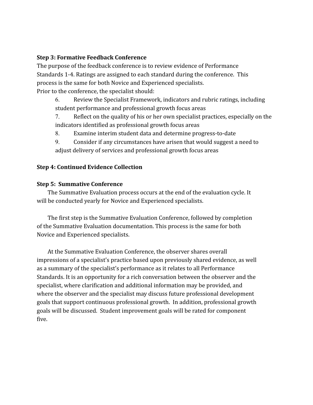### **Step 3: Formative Feedback Conference**

The purpose of the feedback conference is to review evidence of Performance Standards 1-4. Ratings are assigned to each standard during the conference. This process is the same for both Novice and Experienced specialists. Prior to the conference, the specialist should:

6. Review the Specialist Framework, indicators and rubric ratings, including student performance and professional growth focus areas

7. Reflect on the quality of his or her own specialist practices, especially on the indicators identified as professional growth focus areas

8. Examine interim student data and determine progress-to-date

9. Consider if any circumstances have arisen that would suggest a need to adjust delivery of services and professional growth focus areas

### **Step 4: Continued Evidence Collection**

### **Step 5: Summative Conference**

The Summative Evaluation process occurs at the end of the evaluation cycle. It will be conducted yearly for Novice and Experienced specialists.

The first step is the Summative Evaluation Conference, followed by completion of the Summative Evaluation documentation. This process is the same for both Novice and Experienced specialists.

At the Summative Evaluation Conference, the observer shares overall impressions of a specialist's practice based upon previously shared evidence, as well as a summary of the specialist's performance as it relates to all Performance Standards. It is an opportunity for a rich conversation between the observer and the specialist, where clarification and additional information may be provided, and where the observer and the specialist may discuss future professional development goals that support continuous professional growth. In addition, professional growth goals will be discussed. Student improvement goals will be rated for component five.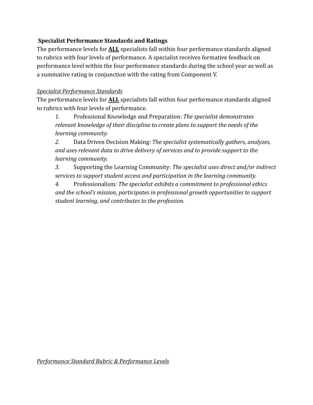# **Specialist Performance Standards and Ratings**

The performance levels for **ALL** specialists fall within four performance standards aligned to rubrics with four levels of performance. A specialist receives formative feedback on performance level within the four performance standards during the school year as well as a summative rating in conjunction with the rating from Component V.

# *Specialist Performance Standards*

The performance levels for **ALL** specialists fall within four performance standards aligned to rubrics with four levels of performance.

*1.* Professional Knowledge and Preparation: *The specialist demonstrates relevant knowledge of their discipline to create plans to support the needs of the learning community.*

*2.* Data Driven Decision Making: *The specialist systematically gathers, analyzes, and uses relevant data to drive delivery of services and to provide support to the learning community.*

*3.* Supporting the Learning Community: *The specialist uses direct and/or indirect services to support student access and participation in the learning community.*

*4.* Professionalism: *The specialist exhibits a commitment to professional ethics and the school's mission, participates in professional growth opportunities to support student learning, and contributes to the profession.*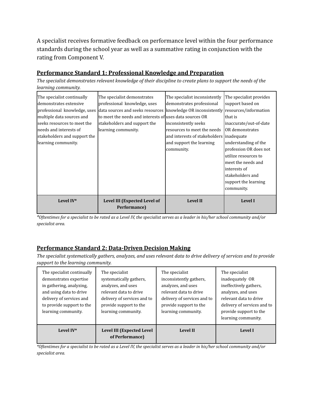A specialist receives formative feedback on performance level within the four performance standards during the school year as well as a summative rating in conjunction with the rating from Component V.

# **Performance Standard 1: Professional Knowledge and Preparation**

The specialist demonstrates relevant knowledge of their discipline to create plans to support the needs of the *learning community.*

| The specialist continually<br>ldemonstrates extensive<br>professional knowledge, uses<br>multiple data sources and<br>seeks resources to meet the<br>lneeds and interests of<br>stakeholders and support the<br>learning community. | The specialist demonstrates<br>professional knowledge, uses<br>data sources and seeks resources<br>to meet the needs and interests of uses data sources OR<br>stakeholders and support the<br>learning community. | The specialist inconsistently<br>demonstrates professional<br>knowledge OR inconsistently resources/information<br>inconsistently seeks<br>resources to meet the needs<br>and interests of stakeholders inadequate<br>and support the learning<br>community. | The specialist provides<br>support based on<br>that is<br>inaccurate/out-of-date<br>OR demonstrates<br>understanding of the<br>profession OR does not<br>utilize resources to<br>meet the needs and<br>interests of |
|-------------------------------------------------------------------------------------------------------------------------------------------------------------------------------------------------------------------------------------|-------------------------------------------------------------------------------------------------------------------------------------------------------------------------------------------------------------------|--------------------------------------------------------------------------------------------------------------------------------------------------------------------------------------------------------------------------------------------------------------|---------------------------------------------------------------------------------------------------------------------------------------------------------------------------------------------------------------------|
|                                                                                                                                                                                                                                     |                                                                                                                                                                                                                   |                                                                                                                                                                                                                                                              | stakeholders and<br>support the learning<br>community.                                                                                                                                                              |
| Level IV*                                                                                                                                                                                                                           | Level III (Expected Level of<br>Performance)                                                                                                                                                                      | <b>Level II</b>                                                                                                                                                                                                                                              | <b>Level I</b>                                                                                                                                                                                                      |

*\*Oftentimes for a specialist to be rated as a Level IV, the specialist serves as a leader in his/her school community and/or specialist area.*

# **Performance Standard 2: Data-Driven Decision Making**

The specialist systematically gathers, analyzes, and uses relevant data to drive delivery of services and to provide *support to the learning community.*

| The specialist continually<br>demonstrates expertise<br>in gathering, analyzing,<br>and using data to drive<br>delivery of services and<br>to provide support to the<br>learning community. | The specialist<br>systematically gathers,<br>analyzes, and uses<br>relevant data to drive<br>delivery of services and to<br>provide support to the<br>learning community. | The specialist<br>inconsistently gathers,<br>analyzes, and uses<br>relevant data to drive<br>delivery of services and to<br>provide support to the<br>learning community. | The specialist<br>inadequately OR<br>ineffectively gathers,<br>analyzes, and uses<br>relevant data to drive<br>delivery of services and to<br>provide support to the<br>learning community. |
|---------------------------------------------------------------------------------------------------------------------------------------------------------------------------------------------|---------------------------------------------------------------------------------------------------------------------------------------------------------------------------|---------------------------------------------------------------------------------------------------------------------------------------------------------------------------|---------------------------------------------------------------------------------------------------------------------------------------------------------------------------------------------|
| Level IV*                                                                                                                                                                                   | Level III (Expected Level<br>of Performance)                                                                                                                              | <b>Level II</b>                                                                                                                                                           | Level I                                                                                                                                                                                     |

*\*Oftentimes for a specialist to be rated as a Level IV, the specialist serves as a leader in his/her school community and/or specialist area.*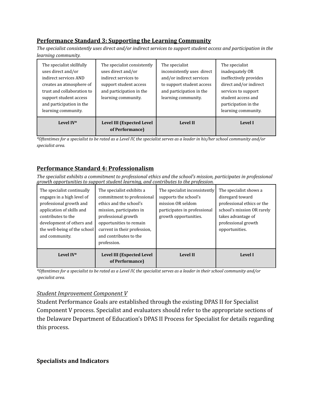# **Performance Standard 3: Supporting the Learning Community**

The specialist consistently uses direct and/or indirect services to support student access and participation in the *learning community.*

| The specialist skillfully<br>uses direct and/or<br>indirect services AND<br>creates an atmosphere of<br>trust and collaboration to<br>support student access<br>and participation in the<br>learning community. | The specialist consistently<br>uses direct and/or<br>indirect services to<br>support student access<br>and participation in the<br>learning community. | The specialist<br>inconsistently uses direct<br>and/or indirect services<br>to support student access<br>and participation in the<br>learning community. | The specialist<br>inadequately OR<br>ineffectively provides<br>direct and/or indirect<br>services to support<br>student access and<br>participation in the<br>learning community. |
|-----------------------------------------------------------------------------------------------------------------------------------------------------------------------------------------------------------------|--------------------------------------------------------------------------------------------------------------------------------------------------------|----------------------------------------------------------------------------------------------------------------------------------------------------------|-----------------------------------------------------------------------------------------------------------------------------------------------------------------------------------|
| Level IV*                                                                                                                                                                                                       | Level III (Expected Level<br>of Performance)                                                                                                           | <b>Level II</b>                                                                                                                                          | Level I                                                                                                                                                                           |

*\*Oftentimes for a specialist to be rated as a Level IV, the specialist serves as a leader in his/her school community and/or specialist area.*

# **Performance Standard 4: Professionalism**

*The specialist exhibits a commitment to professional ethics and the school's mission, participates in professional growth opportunities to support student learning, and contributes to the profession.*

| The specialist continually<br>engages in a high level of<br>professional growth and<br>application of skills and<br>contributes to the<br>development of others and<br>the well-being of the school<br>and community. | The specialist exhibits a<br>commitment to professional<br>ethics and the school's<br>mission, participates in<br>professional growth<br>opportunities to remain<br>current in their profession,<br>and contributes to the<br>profession. | The specialist inconsistently<br>supports the school's<br>mission OR seldom<br>participates in professional<br>growth opportunities. | The specialist shows a<br>disregard toward<br>professional ethics or the<br>school's mission OR rarely<br>takes advantage of<br>professional growth<br>opportunities. |
|-----------------------------------------------------------------------------------------------------------------------------------------------------------------------------------------------------------------------|-------------------------------------------------------------------------------------------------------------------------------------------------------------------------------------------------------------------------------------------|--------------------------------------------------------------------------------------------------------------------------------------|-----------------------------------------------------------------------------------------------------------------------------------------------------------------------|
| Level IV*                                                                                                                                                                                                             | Level III (Expected Level<br>of Performance)                                                                                                                                                                                              | <b>Level II</b>                                                                                                                      | Level I                                                                                                                                                               |

*\*Oftentimes for a specialist to be rated as a Level IV, the specialist serves as a leader in their school community and/or specialist area.*

### *Student Improvement Component V*

Student Performance Goals are established through the existing DPAS II for Specialist Component V process. Specialist and evaluators should refer to the appropriate sections of the Delaware Department of Education's DPAS II Process for Specialist for details regarding this process.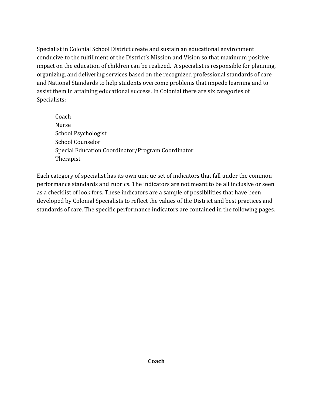Specialist in Colonial School District create and sustain an educational environment conducive to the fulfillment of the District's Mission and Vision so that maximum positive impact on the education of children can be realized. A specialist is responsible for planning, organizing, and delivering services based on the recognized professional standards of care and National Standards to help students overcome problems that impede learning and to assist them in attaining educational success. In Colonial there are six categories of Specialists:

Coach Nurse School Psychologist School Counselor Special Education Coordinator/Program Coordinator Therapist

Each category of specialist has its own unique set of indicators that fall under the common performance standards and rubrics. The indicators are not meant to be all inclusive or seen as a checklist of look fors. These indicators are a sample of possibilities that have been developed by Colonial Specialists to reflect the values of the District and best practices and standards of care. The specific performance indicators are contained in the following pages.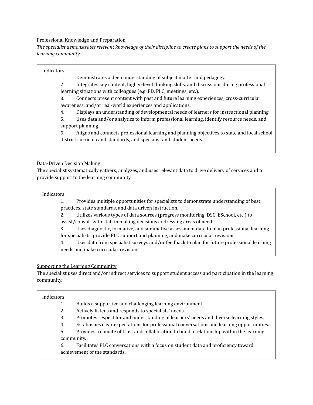### Professional Knowledge and Preparation

The specialist demonstrates relevant knowledge of their discipline to create plans to support the needs of the *learning community.*

#### Indicators:

1. Demonstrates a deep understanding of subject matter and pedagogy.

2. Integrates key content, higher-level thinking skills, and discussions during professional learning situations with colleagues (e.g. PD, PLC, meetings, etc.).

3. Connects present content with past and future learning experiences, cross-curricular awareness, and/or real-world experiences and applications.

4. Displays an understanding of developmental needs of learners for instructional planning.

5. Uses data and/or analytics to inform professional learning, identify resource needs, and support planning.

6. Aligns and connects professional learning and planning objectives to state and local school district curricula and standards, and specialist and student needs.

#### Data-Driven Decision Making

The specialist systematically gathers, analyzes, and uses relevant data to drive delivery of services and to provide support to the learning community.

Indicators:

1. Provides multiple opportunities for specialists to demonstrate understanding of best practices, state standards, and data driven instruction.

2. Utilizes various types of data sources (progress monitoring, DSC, ESchool, etc.) to assist/consult with staff in making decisions addressing areas of need.

3. Uses diagnostic, formative, and summative assessment data to plan professional learning

for specialists, provide PLC support and planning, and make curricular revisions.

4. Uses data from specialist surveys and/or feedback to plan for future professional learning needs and make curricular revisions.

#### Supporting the Learning Community

The specialist uses direct and/or indirect services to support student access and participation in the learning community.

#### Indicators:

1. Builds a supportive and challenging learning environment.

2. Actively listens and responds to specialists' needs.

3. Promotes respect for and understanding of learners' needs and diverse learning styles.

4. Establishes clear expectations for professional conversations and learning opportunities.

5. Provides a climate of trust and collaboration to build a relationship within the learning community.

6. Facilitates PLC conversations with a focus on student data and proficiency toward achievement of the standards.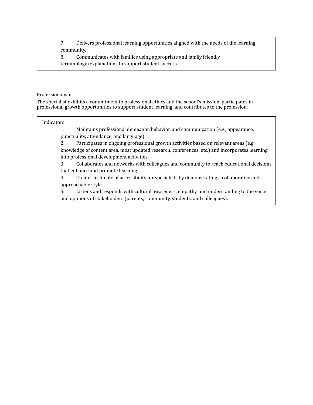7. Delivers professional learning opportunities aligned with the needs of the learning community.

8. Communicates with families using appropriate and family friendly terminology/explanations to support student success.

#### Professionalism

The specialist exhibits a commitment to professional ethics and the school's mission, participates in professional growth opportunities to support student learning, and contributes to the profession.

#### Indicators:

1. Maintains professional demeanor, behavior, and communication (e.g., appearance, punctuality, attendance, and language).

2. Participates in ongoing professional growth activities based on relevant areas (e.g., knowledge of content area, most updated research, conferences, etc.) and incorporates learning into professional development activities.

3. Collaborates and networks with colleagues and community to reach educational decisions that enhance and promote learning.

4. Creates a climate of accessibility for specialists by demonstrating a collaborative and approachable style.

5. Listens and responds with cultural awareness, empathy, and understanding to the voice and opinions of stakeholders (parents, community, students, and colleagues).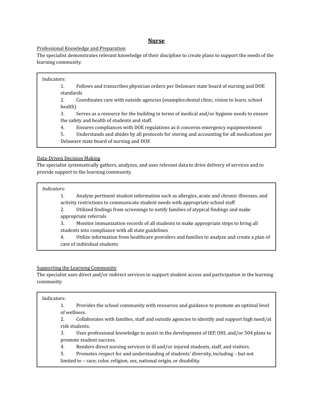### **Nurse**

#### Professional Knowledge and Preparation

The specialist demonstrates relevant knowledge of their discipline to create plans to support the needs of the learning community.

#### Indicators:

1. Follows and transcribes physician orders per Delaware state board of nursing and DOE standards

2. Coordinates care with outside agencies (examples:dental clinic, vision to learn, school health)

3. Serves as a resource for the building in terms of medical and/or hygiene needs to ensure the safety and health of students and staff.

4. Ensures compliances with DOE regulations as it concerns emergency equipmentment

5. Understands and abides by all protocols for storing and accounting for all medications per Delaware state board of nursing and DOE

#### Data-Driven Decision Making

The specialist systematically gathers, analyzes, and uses relevant data to drive delivery of services and to provide support to the learning community.

#### *Indicators:*

1. Analyze pertinent student information such as allergies, acute and chronic illnesses, and activity restrictions to communicate student needs with appropriate school staff

2. Utilized findings from screenings to notify families of atypical findings and make appropriate referrals

3. Monitor immunization records of all students to make appropriate steps to bring all students into compliance with all state guidelines

4. Utilize information from healthcare providers and families to analyze and create a plan of care of individual students

#### Supporting the Learning Community

The specialist uses direct and/or indirect services to support student access and participation in the learning community.

#### Indicators:

1. Provides the school community with resources and guidance to promote an optimal level of wellness.

2. Collaborates with families, staff and outside agencies to identify and support high need/at risk students.

3. Uses professional knowledge to assist in the development of IEP, OHI, and/or 504 plans to promote student success.

4. Renders direct nursing services to ill and/or injured students, staff, and visitors.

5. Promotes respect for and understanding of students' diversity, including – but not

limited to – race, color, religion, sex, national origin, or disability.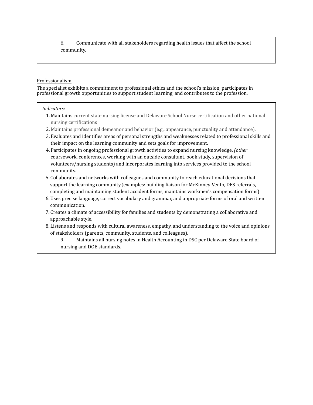6. Communicate with all stakeholders regarding health issues that affect the school community.

#### Professionalism

The specialist exhibits a commitment to professional ethics and the school's mission, participates in professional growth opportunities to support student learning, and contributes to the profession.

#### *Indicators:*

- 1. Maintains current state nursing license and Delaware School Nurse certification and other national nursing certifications
- 2. Maintains professional demeanor and behavior (e.g., appearance, punctuality and attendance).
- 3. Evaluates and identifies areas of personal strengths and weaknesses related to professional skills and their impact on the learning community and sets goals for improvement.
- 4. Participates in ongoing professional growth activities to expand nursing knowledge, *(other* coursework, conferences, working with an outside consultant, book study, supervision of volunteers/nursing students) and incorporates learning into services provided to the school community.
- 5. Collaborates and networks with colleagues and community to reach educational decisions that support the learning community.(examples: building liaison for McKinney-Vento, DFS referrals, completing and maintaining student accident forms, maintains workmen's compensation forms)
- 6. Uses precise language, correct vocabulary and grammar, and appropriate forms of oral and written communication.
- 7. Creates a climate of accessibility for families and students by demonstrating a collaborative and approachable style.
- 8. Listens and responds with cultural awareness, empathy, and understanding to the voice and opinions of stakeholders (parents, community, students, and colleagues).
	- 9. Maintains all nursing notes in Health Accounting in DSC per Delaware State board of nursing and DOE standards.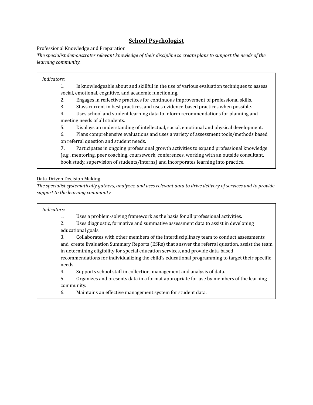### **School Psychologist**

#### Professional Knowledge and Preparation

The specialist demonstrates relevant knowledge of their discipline to create plans to support the needs of the *learning community.*

#### *Indicators:*

1. Is knowledgeable about and skillful in the use of various evaluation techniques to assess social, emotional, cognitive, and academic functioning.

- 2. Engages in reflective practices for continuous improvement of professional skills.
- 3. Stays current in best practices, and uses evidence-based practices when possible.

4. Uses school and student learning data to inform recommendations for planning and meeting needs of all students.

5. Displays an understanding of intellectual, social, emotional and physical development.

6. Plans comprehensive evaluations and uses a variety of assessment tools/methods based on referral question and student needs.

**7.** Participates in ongoing professional growth activities to expand professional knowledge (e.g., mentoring, peer coaching, coursework, conferences, working with an outside consultant, book study, supervision of students/interns) and incorporates learning into practice.

### Data-Driven Decision Making

The specialist systematically gathers, analyzes, and uses relevant data to drive delivery of services and to provide *support to the learning community.*

#### *Indicators:*

1. Uses a problem-solving framework as the basis for all professional activities.

2. Uses diagnostic, formative and summative assessment data to assist in developing educational goals.

3. Collaborates with other members of the interdisciplinary team to conduct assessments and create Evaluation Summary Reports (ESRs) that answer the referral question, assist the team in determining eligibility for special education services, and provide data-based

recommendations for individualizing the child's educational programming to target their specific needs.

4. Supports school staff in collection, management and analysis of data.

5. Organizes and presents data in a format appropriate for use by members of the learning community.

6. Maintains an effective management system for student data.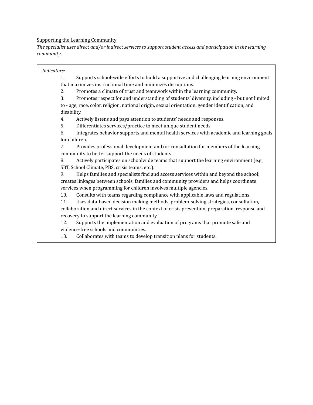#### Supporting the Learning Community

*The specialist uses direct and/or indirect services to support student access and participation in the learning community.*

### *Indicators:*

1. Supports school-wide efforts to build a supportive and challenging learning environment that maximizes instructional time and minimizes disruptions.

2. Promotes a climate of trust and teamwork within the learning community.

3. Promotes respect for and understanding of students' diversity, including - but not limited

to - age, race, color, religion, national origin, sexual orientation, gender identification, and disability.

4. Actively listens and pays attention to students' needs and responses.

5. Differentiates services/practice to meet unique student needs.

6. Integrates behavior supports and mental health services with academic and learning goals for children.

7. Provides professional development and/or consultation for members of the learning community to better support the needs of students.

8. Actively participates on schoolwide teams that support the learning environment (e.g., SBT, School Climate, PBS, crisis teams, etc.).

9. Helps families and specialists find and access services within and beyond the school; creates linkages between schools, families and community providers and helps coordinate services when programming for children involves multiple agencies.

10. Consults with teams regarding compliance with applicable laws and regulations.

11. Uses data-based decision making methods, problem-solving strategies, consultation,

collaboration and direct services in the context of crisis prevention, preparation, response and recovery to support the learning community.

12. Supports the implementation and evaluation of programs that promote safe and violence-free schools and communities.

13. Collaborates with teams to develop transition plans for students.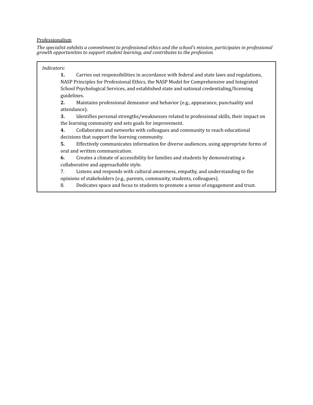#### Professionalism

*The specialist exhibits a commitment to professional ethics and the school's mission, participates in professional growth opportunities to support student learning, and contributes to the profession.*

### *Indicators:*

**1.** Carries out responsibilities in accordance with federal and state laws and regulations, NASP Principles for Professional Ethics, the NASP Model for Comprehensive and Integrated School Psychological Services, and established state and national credentialing/licensing guidelines.

**2.** Maintains professional demeanor and behavior (e.g., appearance, punctuality and attendance).

**3.** Identifies personal strengths/weaknesses related to professional skills, their impact on the learning community and sets goals for improvement.

**4.** Collaborates and networks with colleagues and community to reach educational decisions that support the learning community.

**5.** Effectively communicates information for diverse audiences, using appropriate forms of oral and written communication.

**6.** Creates a climate of accessibility for families and students by demonstrating a collaborative and approachable style.

7. Listens and responds with cultural awareness, empathy, and understanding to the opinions of stakeholders (e.g., parents, community, students, colleagues).

8. Dedicates space and focus to students to promote a sense of engagement and trust.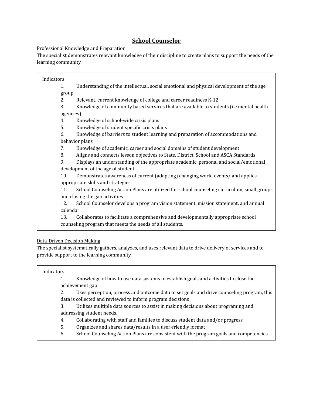### **School Counselor**

### Professional Knowledge and Preparation

The specialist demonstrates relevant knowledge of their discipline to create plans to support the needs of the learning community.

Indicators: 1. Understanding of the intellectual, social emotional and physical development of the age group 2. Relevant, current knowledge of college and career readiness K-12 3. Knowledge of community based services that are available to students (i.e mental health agencies) 4. Knowledge of school-wide crisis plans 5. Knowledge of student specific crisis plans 6. Knowledge of barriers to student learning and preparation of accommodations and behavior plans 7. Knowledge of academic, career and social domains of student development 8. Aligns and connects lesson objectives to State, District, School and ASCA Standards 9. Displays an understanding of the appropriate academic, personal and social/emotional development of the age of student 10. Demonstrates awareness of current (adapting) changing world events/ and applies appropriate skills and strategies 11. School Counseling Action Plans are utilized for school counseling curriculum, small groups and closing the gap activities 12. School Counselor develops a program vision statement, mission statement, and annual calendar 13. Collaborates to facilitate a comprehensive and developmentally appropriate school counseling program that meets the needs of all students.

#### Data-Driven Decision Making

The specialist systematically gathers, analyzes, and uses relevant data to drive delivery of services and to provide support to the learning community.

#### Indicators:

1. Knowledge of how to use data systems to establish goals and activities to close the achievement gap

2. Uses perception, process and outcome data to set goals and drive counseling program, this data is collected and reviewed to inform program decisions

3. Utilizes multiple data sources to assist in making decisions about programing and addressing student needs.

- 4. Collaborating with staff and families to discuss student data and/or progress
- 5. Organizes and shares data/results in a user-friendly format
- 6. School Counseling Action Plans are consistent with the program goals and competencies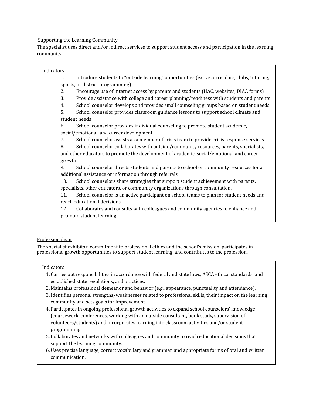#### Supporting the Learning Community

The specialist uses direct and/or indirect services to support student access and participation in the learning community.

#### Indicators:

1. Introduce students to "outside learning" opportunities (extra-curriculars, clubs, tutoring, sports, in-district programming)

- 2. Encourage use of internet access by parents and students (HAC, websites, DIAA forms)
- 3. Provide assistance with college and career planning/readiness with students and parents
- 4. School counselor develops and provides small counseling groups based on student needs

5. School counselor provides classroom guidance lessons to support school climate and student needs

6. School counselor provides individual counseling to promote student academic, social/emotional, and career development

7. School counselor assists as a member of crisis team to provide crisis response services

8. School counselor collaborates with outside/community resources, parents, specialists, and other educators to promote the development of academic, social/emotional and career growth

9. School counselor directs students and parents to school or community resources for a additional assistance or information through referrals

10. School counselors share strategies that support student achievement with parents, specialists, other educators, or community organizations through consultation.

11. School counselor is an active participant on school teams to plan for student needs and reach educational decisions

12. Collaborates and consults with colleagues and community agencies to enhance and promote student learning

#### Professionalism

The specialist exhibits a commitment to professional ethics and the school's mission, participates in professional growth opportunities to support student learning, and contributes to the profession.

#### Indicators:

- 1. Carries out responsibilities in accordance with federal and state laws, ASCA ethical standards, and established state regulations, and practices.
- 2. Maintains professional demeanor and behavior (e.g., appearance, punctuality and attendance).
- 3. Identifies personal strengths/weaknesses related to professional skills, their impact on the learning community and sets goals for improvement.
- 4. Participates in ongoing professional growth activities to expand school counselors' knowledge (coursework, conferences, working with an outside consultant, book study, supervision of volunteers/students) and incorporates learning into classroom activities and/or student programming.
- 5. Collaborates and networks with colleagues and community to reach educational decisions that support the learning community.
- 6. Uses precise language, correct vocabulary and grammar, and appropriate forms of oral and written communication.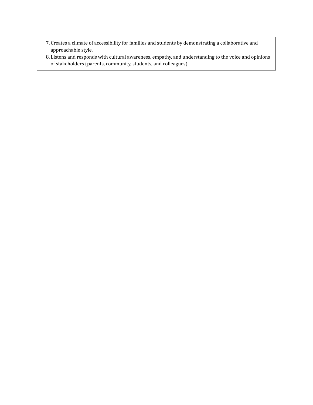- 7. Creates a climate of accessibility for families and students by demonstrating a collaborative and approachable style.
- 8. Listens and responds with cultural awareness, empathy, and understanding to the voice and opinions of stakeholders (parents, community, students, and colleagues).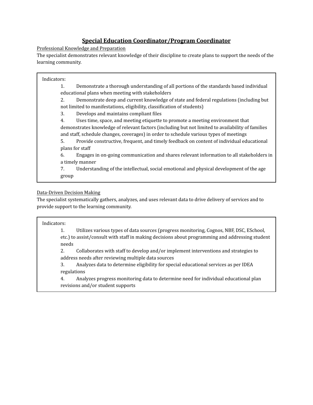### **Special Education Coordinator/Program Coordinator**

### Professional Knowledge and Preparation

The specialist demonstrates relevant knowledge of their discipline to create plans to support the needs of the learning community.

#### Indicators:

1. Demonstrate a thorough understanding of all portions of the standards based individual educational plans when meeting with stakeholders

2. Demonstrate deep and current knowledge of state and federal regulations (including but not limited to manifestations, eligibility, classification of students)

3. Develops and maintains compliant files

4. Uses time, space, and meeting etiquette to promote a meeting environment that demonstrates knowledge of relevant factors (including but not limited to availability of families and staff, schedule changes, coverages) in order to schedule various types of meetings

5. Provide constructive, frequent, and timely feedback on content of individual educational plans for staff

6. Engages in on-going communication and shares relevant information to all stakeholders in a timely manner

7. Understanding of the intellectual, social emotional and physical development of the age group

### Data-Driven Decision Making

The specialist systematically gathers, analyzes, and uses relevant data to drive delivery of services and to provide support to the learning community.

#### Indicators:

1. Utilizes various types of data sources (progress monitoring, Cognos, NBF, DSC, ESchool, etc.) to assist/consult with staff in making decisions about programming and addressing student needs

2. Collaborates with staff to develop and/or implement interventions and strategies to address needs after reviewing multiple data sources

3. Analyzes data to determine eligibility for special educational services as per IDEA regulations

4. Analyzes progress monitoring data to determine need for individual educational plan revisions and/or student supports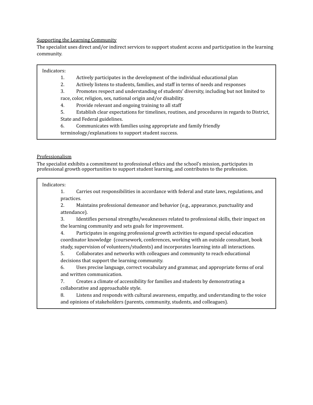#### Supporting the Learning Community

The specialist uses direct and/or indirect services to support student access and participation in the learning community.

### Indicators:

1. Actively participates in the development of the individual educational plan

2. Actively listens to students, families, and staff in terms of needs and responses

3. Promotes respect and understanding of students' diversity, including but not limited to race, color, religion, sex, national origin and/or disability.

4. Provide relevant and ongoing training to all staff

5. Establish clear expectations for timelines, routines, and procedures in regards to District, State and Federal guidelines.

6. Communicates with families using appropriate and family friendly

terminology/explanations to support student success.

#### Professionalism

The specialist exhibits a commitment to professional ethics and the school's mission, participates in professional growth opportunities to support student learning, and contributes to the profession.

#### Indicators:

1. Carries out responsibilities in accordance with federal and state laws, regulations, and practices.

2. Maintains professional demeanor and behavior (e.g., appearance, punctuality and attendance).

3. Identifies personal strengths/weaknesses related to professional skills, their impact on the learning community and sets goals for improvement.

4. Participates in ongoing professional growth activities to expand special education coordinator knowledge (coursework, conferences, working with an outside consultant, book study, supervision of volunteers/students) and incorporates learning into all interactions.

5. Collaborates and networks with colleagues and community to reach educational decisions that support the learning community.

6. Uses precise language, correct vocabulary and grammar, and appropriate forms of oral and written communication.

7. Creates a climate of accessibility for families and students by demonstrating a collaborative and approachable style.

8. Listens and responds with cultural awareness, empathy, and understanding to the voice and opinions of stakeholders (parents, community, students, and colleagues).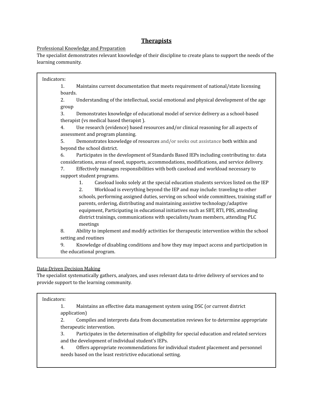### **Therapists**

### Professional Knowledge and Preparation

The specialist demonstrates relevant knowledge of their discipline to create plans to support the needs of the learning community.

Indicators: 1. Maintains current documentation that meets requirement of national/state licensing boards. 2. Understanding of the intellectual, social emotional and physical development of the age group 3. Demonstrates knowledge of educational model of service delivery as a school-based therapist (vs medical based therapist ). 4. Use research (evidence) based resources and/or clinical reasoning for all aspects of assessment and program planning. 5. Demonstrates knowledge of resources and/or seeks out assistance both within and beyond the school district. 6. Participates in the development of Standards Based IEPs including contributing to: data considerations, areas of need, supports, accommodations, modifications, and service delivery. 7. Effectively manages responsibilities with both caseload and workload necessary to support student programs. 1. Caseload looks solely at the special education students services listed on the IEP 2. Workload is everything beyond the IEP and may include: traveling to other schools, performing assigned duties, serving on school wide committees, training staff or parents, ordering, distributing and maintaining assistive technology/adaptive equipment, Participating in educational initiatives such as SBT, RTI, PBS, attending district trainings, communications with specialists/team members, attending PLC meetings 8. Ability to implement and modify activities for therapeutic intervention within the school setting and routines 9. Knowledge of disabling conditions and how they may impact access and participation in the educational program.

### Data-Driven Decision Making

The specialist systematically gathers, analyzes, and uses relevant data to drive delivery of services and to provide support to the learning community.

#### Indicators:

1. Maintains an effective data management system using DSC (or current district application)

2. Compiles and interprets data from documentation reviews for to determine appropriate therapeutic intervention.

3. Participates in the determination of eligibility for special education and related services and the development of individual student's IEPs.

4. Offers appropriate recommendations for individual student placement and personnel needs based on the least restrictive educational setting.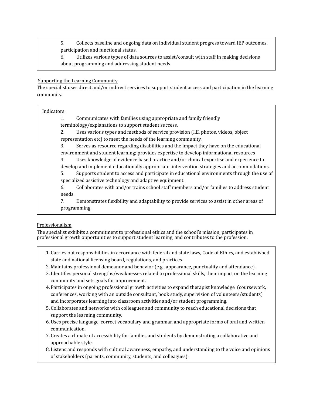5. Collects baseline and ongoing data on individual student progress toward IEP outcomes, participation and functional status.

6. Utilizes various types of data sources to assist/consult with staff in making decisions about programming and addressing student needs

#### Supporting the Learning Community

The specialist uses direct and/or indirect services to support student access and participation in the learning community.

#### Indicators:

1. Communicates with families using appropriate and family friendly

terminology/explanations to support student success.

2. Uses various types and methods of service provision (I.E. photos, videos, object representation etc) to meet the needs of the learning community.

3. Serves as resource regarding disabilities and the impact they have on the educational environment and student learning; provides expertise to develop informational resources

4. Uses knowledge of evidence based practice and/or clinical expertise and experience to develop and implement educationally appropriate intervention strategies and accommodations.

5. Supports student to access and participate in educational environments through the use of specialized assistive technology and adaptive equipment.

6. Collaborates with and/or trains school staff members and/or families to address student needs.

7. Demonstrates flexibility and adaptability to provide services to assist in other areas of programming.

### Professionalism

The specialist exhibits a commitment to professional ethics and the school's mission, participates in professional growth opportunities to support student learning, and contributes to the profession.

- 1. Carries out responsibilities in accordance with federal and state laws, Code of Ethics, and established state and national licensing board, regulations, and practices.
- 2. Maintains professional demeanor and behavior (e.g., appearance, punctuality and attendance).
- 3. Identifies personal strengths/weaknesses related to professional skills, their impact on the learning community and sets goals for improvement.
- 4. Participates in ongoing professional growth activities to expand therapist knowledge (coursework, conferences, working with an outside consultant, book study, supervision of volunteers/students) and incorporates learning into classroom activities and/or student programming.
- 5. Collaborates and networks with colleagues and community to reach educational decisions that support the learning community.
- 6. Uses precise language, correct vocabulary and grammar, and appropriate forms of oral and written communication.
- 7. Creates a climate of accessibility for families and students by demonstrating a collaborative and approachable style.
- 8. Listens and responds with cultural awareness, empathy, and understanding to the voice and opinions of stakeholders (parents, community, students, and colleagues).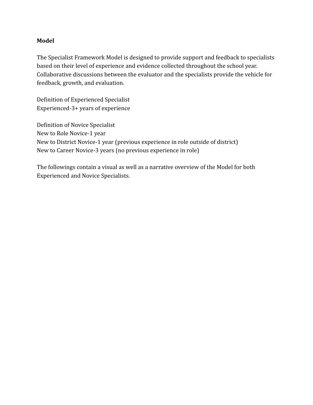### **Model**

The Specialist Framework Model is designed to provide support and feedback to specialists based on their level of experience and evidence collected throughout the school year. Collaborative discussions between the evaluator and the specialists provide the vehicle for feedback, growth, and evaluation.

Definition of Experienced Specialist Experienced-3+ years of experience

Definition of Novice Specialist New to Role Novice-1 year New to District Novice-1 year (previous experience in role outside of district) New to Career Novice-3 years (no previous experience in role)

The followings contain a visual as well as a narrative overview of the Model for both Experienced and Novice Specialists.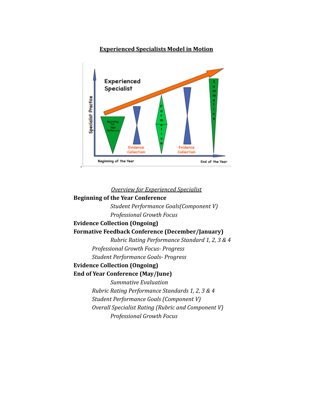### **Experienced Specialists Model in Motion**



### *Overview for Experienced Specialist*

### **Beginning of the Year Conference**

*Student Performance Goals(Component V) Professional Growth Focus*

# **Evidence Collection (Ongoing)**

### **Formative Feedback Conference (December/January)**

*Rubric Rating Performance Standard 1, 2, 3 & 4 Professional Growth Focus- Progress Student Performance Goals- Progress*

### **Evidence Collection (Ongoing)**

### **End of Year Conference (May/June)**

*Summative Evaluation Rubric Rating Performance Standards 1, 2, 3 & 4 Student Performance Goals (Component V) Overall Specialist Rating (Rubric and Component V) Professional Growth Focus*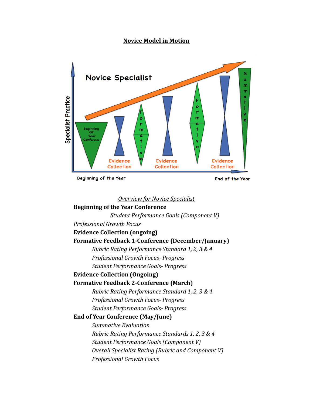### **Novice Model in Motion**



Beginning of the Year

End of the Year

#### *Overview for Novice Specialist*

# **Beginning of the Year Conference** *Student Performance Goals (Component V) Professional Growth Focus* **Evidence Collection (ongoing) Formative Feedback 1-Conference (December/January)** *Rubric Rating Performance Standard 1, 2, 3 & 4 Professional Growth Focus- Progress Student Performance Goals- Progress* **Evidence Collection (Ongoing) Formative Feedback 2-Conference (March)** *Rubric Rating Performance Standard 1, 2, 3 & 4 Professional Growth Focus- Progress Student Performance Goals- Progress* **End of Year Conference (May/June)** *Summative Evaluation Rubric Rating Performance Standards 1, 2, 3 & 4 Student Performance Goals (Component V) Overall Specialist Rating (Rubric and Component V) Professional Growth Focus*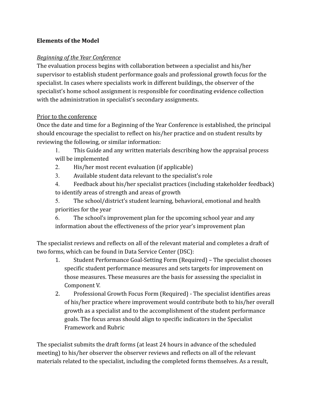# **Elements of the Model**

# *Beginning of the Year Conference*

The evaluation process begins with collaboration between a specialist and his/her supervisor to establish student performance goals and professional growth focus for the specialist. In cases where specialists work in different buildings, the observer of the specialist's home school assignment is responsible for coordinating evidence collection with the administration in specialist's secondary assignments.

# Prior to the conference

Once the date and time for a Beginning of the Year Conference is established, the principal should encourage the specialist to reflect on his/her practice and on student results by reviewing the following, or similar information:

- 1. This Guide and any written materials describing how the appraisal process will be implemented
- 2. His/her most recent evaluation (if applicable)
- 3. Available student data relevant to the specialist's role
- 4. Feedback about his/her specialist practices (including stakeholder feedback) to identify areas of strength and areas of growth
- 5. The school/district's student learning, behavioral, emotional and health priorities for the year

6. The school's improvement plan for the upcoming school year and any information about the effectiveness of the prior year's improvement plan

The specialist reviews and reflects on all of the relevant material and completes a draft of two forms, which can be found in Data Service Center (DSC):

- 1. Student Performance Goal-Setting Form (Required) The specialist chooses specific student performance measures and sets targets for improvement on those measures. These measures are the basis for assessing the specialist in Component V.
- 2. Professional Growth Focus Form (Required) The specialist identifies areas of his/her practice where improvement would contribute both to his/her overall growth as a specialist and to the accomplishment of the student performance goals. The focus areas should align to specific indicators in the Specialist Framework and Rubric

The specialist submits the draft forms (at least 24 hours in advance of the scheduled meeting) to his/her observer the observer reviews and reflects on all of the relevant materials related to the specialist, including the completed forms themselves. As a result,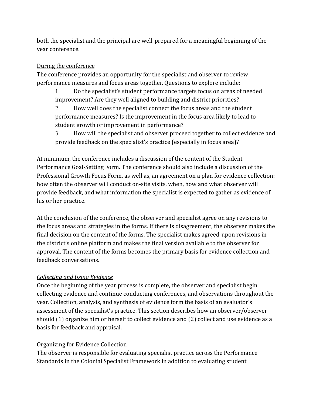both the specialist and the principal are well-prepared for a meaningful beginning of the year conference.

# During the conference

The conference provides an opportunity for the specialist and observer to review performance measures and focus areas together. Questions to explore include:

1. Do the specialist's student performance targets focus on areas of needed improvement? Are they well aligned to building and district priorities?

2. How well does the specialist connect the focus areas and the student performance measures? Is the improvement in the focus area likely to lead to student growth or improvement in performance?

3. How will the specialist and observer proceed together to collect evidence and provide feedback on the specialist's practice (especially in focus area)?

At minimum, the conference includes a discussion of the content of the Student Performance Goal-Setting Form. The conference should also include a discussion of the Professional Growth Focus Form, as well as, an agreement on a plan for evidence collection: how often the observer will conduct on-site visits, when, how and what observer will provide feedback, and what information the specialist is expected to gather as evidence of his or her practice.

At the conclusion of the conference, the observer and specialist agree on any revisions to the focus areas and strategies in the forms. If there is disagreement, the observer makes the final decision on the content of the forms. The specialist makes agreed-upon revisions in the district's online platform and makes the final version available to the observer for approval. The content of the forms becomes the primary basis for evidence collection and feedback conversations.

# *Collecting and Using Evidence*

Once the beginning of the year process is complete, the observer and specialist begin collecting evidence and continue conducting conferences, and observations throughout the year. Collection, analysis, and synthesis of evidence form the basis of an evaluator's assessment of the specialist's practice. This section describes how an observer/observer should (1) organize him or herself to collect evidence and (2) collect and use evidence as a basis for feedback and appraisal.

# Organizing for Evidence Collection

The observer is responsible for evaluating specialist practice across the Performance Standards in the Colonial Specialist Framework in addition to evaluating student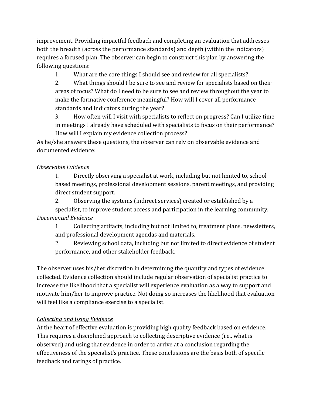improvement. Providing impactful feedback and completing an evaluation that addresses both the breadth (across the performance standards) and depth (within the indicators) requires a focused plan. The observer can begin to construct this plan by answering the following questions:

1. What are the core things I should see and review for all specialists?

2. What things should I be sure to see and review for specialists based on their areas of focus? What do I need to be sure to see and review throughout the year to make the formative conference meaningful? How will I cover all performance standards and indicators during the year?

3. How often will I visit with specialists to reflect on progress? Can I utilize time in meetings I already have scheduled with specialists to focus on their performance? How will I explain my evidence collection process?

As he/she answers these questions, the observer can rely on observable evidence and documented evidence:

# *Observable Evidence*

1. Directly observing a specialist at work, including but not limited to, school based meetings, professional development sessions, parent meetings, and providing direct student support.

2. Observing the systems (indirect services) created or established by a specialist, to improve student access and participation in the learning community. *Documented Evidence*

1. Collecting artifacts, including but not limited to, treatment plans, newsletters, and professional development agendas and materials.

2. Reviewing school data, including but not limited to direct evidence of student performance, and other stakeholder feedback.

The observer uses his/her discretion in determining the quantity and types of evidence collected. Evidence collection should include regular observation of specialist practice to increase the likelihood that a specialist will experience evaluation as a way to support and motivate him/her to improve practice. Not doing so increases the likelihood that evaluation will feel like a compliance exercise to a specialist.

# *Collecting and Using Evidence*

At the heart of effective evaluation is providing high quality feedback based on evidence. This requires a disciplined approach to collecting descriptive evidence (i.e., what is observed) and using that evidence in order to arrive at a conclusion regarding the effectiveness of the specialist's practice. These conclusions are the basis both of specific feedback and ratings of practice.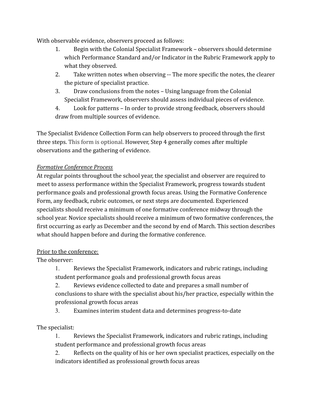With observable evidence, observers proceed as follows:

- 1. Begin with the Colonial Specialist Framework observers should determine which Performance Standard and/or Indicator in the Rubric Framework apply to what they observed.
- 2. Take written notes when observing -- The more specific the notes, the clearer the picture of specialist practice.
- 3. Draw conclusions from the notes Using language from the Colonial Specialist Framework, observers should assess individual pieces of evidence.
- 4. Look for patterns In order to provide strong feedback, observers should draw from multiple sources of evidence.

The Specialist Evidence Collection Form can help observers to proceed through the first three steps. This form is optional. However, Step 4 generally comes after multiple observations and the gathering of evidence.

# *Formative Conference Process*

At regular points throughout the school year, the specialist and observer are required to meet to assess performance within the Specialist Framework, progress towards student performance goals and professional growth focus areas. Using the Formative Conference Form, any feedback, rubric outcomes, or next steps are documented. Experienced specialists should receive a minimum of one formative conference midway through the school year. Novice specialists should receive a minimum of two formative conferences, the first occurring as early as December and the second by end of March. This section describes what should happen before and during the formative conference.

# Prior to the conference:

The observer:

1. Reviews the Specialist Framework, indicators and rubric ratings, including student performance goals and professional growth focus areas

2. Reviews evidence collected to date and prepares a small number of conclusions to share with the specialist about his/her practice, especially within the professional growth focus areas

3. Examines interim student data and determines progress-to-date

The specialist:

1. Reviews the Specialist Framework, indicators and rubric ratings, including student performance and professional growth focus areas

2. Reflects on the quality of his or her own specialist practices, especially on the indicators identified as professional growth focus areas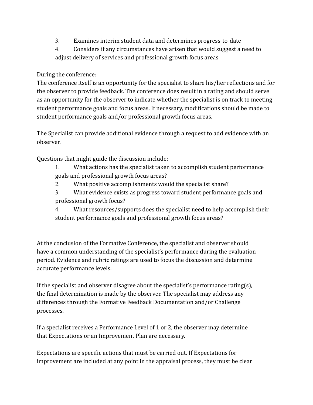- 3. Examines interim student data and determines progress-to-date
- 4. Considers if any circumstances have arisen that would suggest a need to adjust delivery of services and professional growth focus areas

# During the conference:

The conference itself is an opportunity for the specialist to share his/her reflections and for the observer to provide feedback. The conference does result in a rating and should serve as an opportunity for the observer to indicate whether the specialist is on track to meeting student performance goals and focus areas. If necessary, modifications should be made to student performance goals and/or professional growth focus areas.

The Specialist can provide additional evidence through a request to add evidence with an observer.

Questions that might guide the discussion include:

- 1. What actions has the specialist taken to accomplish student performance goals and professional growth focus areas?
- 2. What positive accomplishments would the specialist share?
- 3. What evidence exists as progress toward student performance goals and professional growth focus?

4. What resources/supports does the specialist need to help accomplish their student performance goals and professional growth focus areas?

At the conclusion of the Formative Conference, the specialist and observer should have a common understanding of the specialist's performance during the evaluation period. Evidence and rubric ratings are used to focus the discussion and determine accurate performance levels.

If the specialist and observer disagree about the specialist's performance rating(s), the final determination is made by the observer. The specialist may address any differences through the Formative Feedback Documentation and/or Challenge processes.

If a specialist receives a Performance Level of 1 or 2, the observer may determine that Expectations or an Improvement Plan are necessary.

Expectations are specific actions that must be carried out. If Expectations for improvement are included at any point in the appraisal process, they must be clear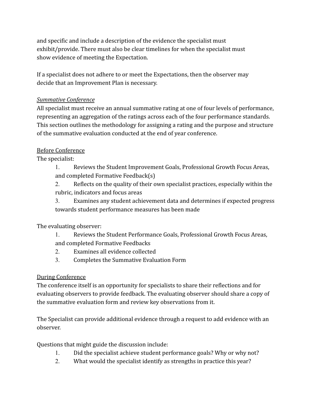and specific and include a description of the evidence the specialist must exhibit/provide. There must also be clear timelines for when the specialist must show evidence of meeting the Expectation.

If a specialist does not adhere to or meet the Expectations, then the observer may decide that an Improvement Plan is necessary.

# *Summative Conference*

All specialist must receive an annual summative rating at one of four levels of performance, representing an aggregation of the ratings across each of the four performance standards. This section outlines the methodology for assigning a rating and the purpose and structure of the summative evaluation conducted at the end of year conference.

# Before Conference

The specialist:

1. Reviews the Student Improvement Goals, Professional Growth Focus Areas, and completed Formative Feedback(s)

2. Reflects on the quality of their own specialist practices, especially within the rubric, indicators and focus areas

3. Examines any student achievement data and determines if expected progress towards student performance measures has been made

The evaluating observer:

1. Reviews the Student Performance Goals, Professional Growth Focus Areas, and completed Formative Feedbacks

2. Examines all evidence collected

3. Completes the Summative Evaluation Form

# During Conference

The conference itself is an opportunity for specialists to share their reflections and for evaluating observers to provide feedback. The evaluating observer should share a copy of the summative evaluation form and review key observations from it.

The Specialist can provide additional evidence through a request to add evidence with an observer.

Questions that might guide the discussion include:

- 1. Did the specialist achieve student performance goals? Why or why not?
- 2. What would the specialist identify as strengths in practice this year?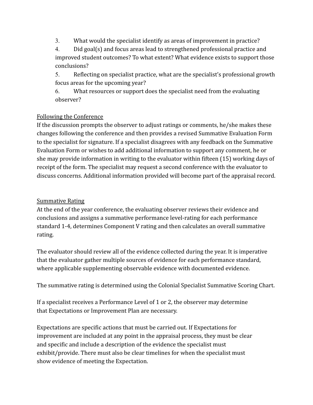3. What would the specialist identify as areas of improvement in practice?

4. Did goal(s) and focus areas lead to strengthened professional practice and improved student outcomes? To what extent? What evidence exists to support those conclusions?

5. Reflecting on specialist practice, what are the specialist's professional growth focus areas for the upcoming year?

6. What resources or support does the specialist need from the evaluating observer?

# Following the Conference

If the discussion prompts the observer to adjust ratings or comments, he/she makes these changes following the conference and then provides a revised Summative Evaluation Form to the specialist for signature. If a specialist disagrees with any feedback on the Summative Evaluation Form or wishes to add additional information to support any comment, he or she may provide information in writing to the evaluator within fifteen (15) working days of receipt of the form. The specialist may request a second conference with the evaluator to discuss concerns. Additional information provided will become part of the appraisal record.

# Summative Rating

At the end of the year conference, the evaluating observer reviews their evidence and conclusions and assigns a summative performance level-rating for each performance standard 1-4, determines Component V rating and then calculates an overall summative rating.

The evaluator should review all of the evidence collected during the year. It is imperative that the evaluator gather multiple sources of evidence for each performance standard, where applicable supplementing observable evidence with documented evidence.

The summative rating is determined using the Colonial Specialist Summative Scoring Chart.

If a specialist receives a Performance Level of 1 or 2, the observer may determine that Expectations or Improvement Plan are necessary.

Expectations are specific actions that must be carried out. If Expectations for improvement are included at any point in the appraisal process, they must be clear and specific and include a description of the evidence the specialist must exhibit/provide. There must also be clear timelines for when the specialist must show evidence of meeting the Expectation.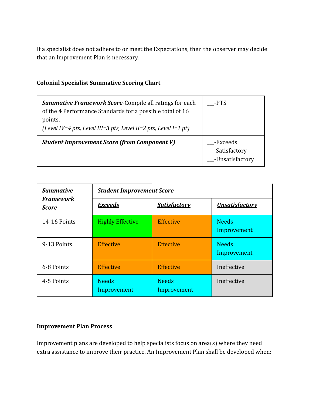If a specialist does not adhere to or meet the Expectations, then the observer may decide that an Improvement Plan is necessary.

## **Colonial Specialist Summative Scoring Chart**

| <b>Summative Framework Score-Compile all ratings for each</b><br>of the 4 Performance Standards for a possible total of 16<br>points.<br>(Level IV=4 pts, Level III=3 pts, Level II=2 pts, Level I=1 pt) | -PTS                                         |
|----------------------------------------------------------------------------------------------------------------------------------------------------------------------------------------------------------|----------------------------------------------|
| <b>Student Improvement Score (from Component V)</b>                                                                                                                                                      | -Exceeds<br>-Satisfactory<br>-Unsatisfactory |

| <b>Summative</b>          | <b>Student Improvement Score</b>      |                             |                             |  |  |
|---------------------------|---------------------------------------|-----------------------------|-----------------------------|--|--|
| <b>Framework</b><br>Score | <b>Exceeds</b><br><b>Satisfactory</b> |                             | <b>Unsatisfactory</b>       |  |  |
| 14-16 Points              | <b>Highly Effective</b>               | <b>Effective</b>            | <b>Needs</b><br>Improvement |  |  |
| 9-13 Points               | <b>Effective</b>                      | <b>Effective</b>            | <b>Needs</b><br>Improvement |  |  |
| 6-8 Points                | <b>Effective</b>                      | <b>Effective</b>            | Ineffective                 |  |  |
| 4-5 Points                | <b>Needs</b><br>Improvement           | <b>Needs</b><br>Improvement | Ineffective                 |  |  |

### **Improvement Plan Process**

Improvement plans are developed to help specialists focus on area(s) where they need extra assistance to improve their practice. An Improvement Plan shall be developed when: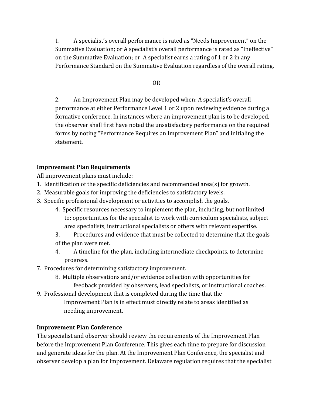1. A specialist's overall performance is rated as "Needs Improvement" on the Summative Evaluation; or A specialist's overall performance is rated as "Ineffective" on the Summative Evaluation; or A specialist earns a rating of 1 or 2 in any Performance Standard on the Summative Evaluation regardless of the overall rating.

### OR

2. An Improvement Plan may be developed when: A specialist's overall performance at either Performance Level 1 or 2 upon reviewing evidence during a formative conference. In instances where an improvement plan is to be developed, the observer shall first have noted the unsatisfactory performance on the required forms by noting "Performance Requires an Improvement Plan" and initialing the statement.

# **Improvement Plan Requirements**

All improvement plans must include:

- 1. Identification of the specific deficiencies and recommended area(s) for growth.
- 2. Measurable goals for improving the deficiencies to satisfactory levels.
- 3. Specific professional development or activities to accomplish the goals.
	- 4. Specific resources necessary to implement the plan, including, but not limited to: opportunities for the specialist to work with curriculum specialists, subject area specialists, instructional specialists or others with relevant expertise.
	- 3. Procedures and evidence that must be collected to determine that the goals of the plan were met.
	- 4. A timeline for the plan, including intermediate checkpoints, to determine progress.
- 7. Procedures for determining satisfactory improvement.
	- 8. Multiple observations and/or evidence collection with opportunities for feedback provided by observers, lead specialists, or instructional coaches.
- 9. Professional development that is completed during the time that the
	- Improvement Plan is in effect must directly relate to areas identified as needing improvement.

# **Improvement Plan Conference**

The specialist and observer should review the requirements of the Improvement Plan before the Improvement Plan Conference. This gives each time to prepare for discussion and generate ideas for the plan. At the Improvement Plan Conference, the specialist and observer develop a plan for improvement. Delaware regulation requires that the specialist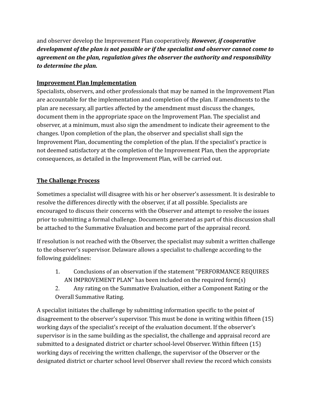and observer develop the Improvement Plan cooperatively. *However, if cooperative development of the plan is not possible or if the specialist and observer cannot come to agreement on the plan, regulation gives the observer the authority and responsibility to determine the plan.*

# **Improvement Plan Implementation**

Specialists, observers, and other professionals that may be named in the Improvement Plan are accountable for the implementation and completion of the plan. If amendments to the plan are necessary, all parties affected by the amendment must discuss the changes, document them in the appropriate space on the Improvement Plan. The specialist and observer, at a minimum, must also sign the amendment to indicate their agreement to the changes. Upon completion of the plan, the observer and specialist shall sign the Improvement Plan, documenting the completion of the plan. If the specialist's practice is not deemed satisfactory at the completion of the Improvement Plan, then the appropriate consequences, as detailed in the Improvement Plan, will be carried out.

# **The Challenge Process**

Sometimes a specialist will disagree with his or her observer's assessment. It is desirable to resolve the differences directly with the observer, if at all possible. Specialists are encouraged to discuss their concerns with the Observer and attempt to resolve the issues prior to submitting a formal challenge. Documents generated as part of this discussion shall be attached to the Summative Evaluation and become part of the appraisal record.

If resolution is not reached with the Observer, the specialist may submit a written challenge to the observer's supervisor. Delaware allows a specialist to challenge according to the following guidelines:

- 1. Conclusions of an observation if the statement "PERFORMANCE REQUIRES AN IMPROVEMENT PLAN" has been included on the required form(s)
- 2. Any rating on the Summative Evaluation, either a Component Rating or the Overall Summative Rating.

A specialist initiates the challenge by submitting information specific to the point of disagreement to the observer's supervisor. This must be done in writing within fifteen (15) working days of the specialist's receipt of the evaluation document. If the observer's supervisor is in the same building as the specialist, the challenge and appraisal record are submitted to a designated district or charter school-level Observer. Within fifteen (15) working days of receiving the written challenge, the supervisor of the Observer or the designated district or charter school level Observer shall review the record which consists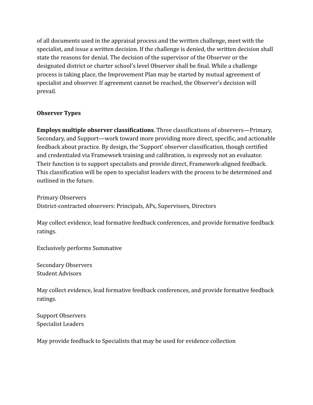of all documents used in the appraisal process and the written challenge, meet with the specialist, and issue a written decision. If the challenge is denied, the written decision shall state the reasons for denial. The decision of the supervisor of the Observer or the designated district or charter school's level Observer shall be final. While a challenge process is taking place, the Improvement Plan may be started by mutual agreement of specialist and observer. If agreement cannot be reached, the Observer's decision will prevail.

### **Observer Types**

**Employs multiple observer classifications**. Three classifications of observers—Primary, Secondary, and Support—work toward more providing more direct, specific, and actionable feedback about practice. By design, the 'Support' observer classification, though certified and credentialed via Framework training and calibration, is expressly not an evaluator. Their function is to support specialists and provide direct, Framework-aligned feedback. This classification will be open to specialist leaders with the process to be determined and outlined in the future.

Primary Observers District-contracted observers: Principals, APs, Supervisors, Directors

May collect evidence, lead formative feedback conferences, and provide formative feedback ratings.

Exclusively performs Summative

Secondary Observers Student Advisors

May collect evidence, lead formative feedback conferences, and provide formative feedback ratings.

Support Observers Specialist Leaders

May provide feedback to Specialists that may be used for evidence collection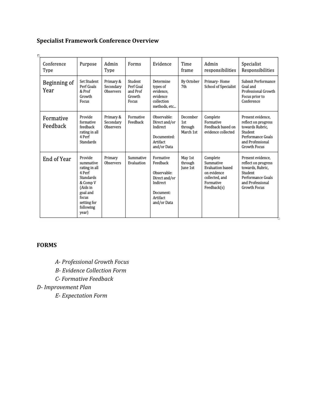# **Specialist Framework Conference Overview**

| ٣                     |                                                                                                                                                |                                     |                                                     |                                                                                                           |                                         |                                                                                                               |                                                                                                                                         |
|-----------------------|------------------------------------------------------------------------------------------------------------------------------------------------|-------------------------------------|-----------------------------------------------------|-----------------------------------------------------------------------------------------------------------|-----------------------------------------|---------------------------------------------------------------------------------------------------------------|-----------------------------------------------------------------------------------------------------------------------------------------|
| Conference<br>Type    | Purpose                                                                                                                                        | Admin<br>Type                       | Forms                                               | Evidence                                                                                                  | Time<br>frame                           | Admin<br>responsibilities                                                                                     | Specialist<br>Responsibilities                                                                                                          |
| Beginning of<br>Year  | Set Student<br>Perf Goals<br>& Prof<br>Growth<br>Focus                                                                                         | Primary &<br>Secondary<br>Observers | Student<br>Perf Goal<br>and Prof<br>Growth<br>Focus | Determine<br>types of<br>evidence.<br>evidence<br>collection<br>methods, etc                              | By October<br>7th                       | Primary-Home<br>School of Specialist                                                                          | Submit Performance<br>Goal and<br>Professional Growth<br>Focus prior to<br>Conference                                                   |
| Formative<br>Feedback | Provide<br>formative<br>feedback<br>rating in all<br>4 Perf<br><b>Standards</b>                                                                | Primary &<br>Secondary<br>Observers | Formative<br>Feedback                               | Observable:<br>Direct and/or<br>Indirect<br>Documented:<br>Artifact<br>and/or Data                        | December<br>1st<br>through<br>March 1st | Complete<br>Formative<br>Feedback based on<br>evidence collected                                              | Present evidence.<br>reflect on progress<br>towards Rubric,<br>Student<br>Performance Goals<br>and Professional<br><b>Growth Focus</b>  |
| End of Year           | Provide<br>summative<br>rating in all<br>4 Perf<br>Standards<br>& Comp V<br>(Aids in<br>goal and<br>focus<br>setting for<br>following<br>year) | Primary<br>Observers                | Summative<br>Evaluation                             | Formative<br>Feedback<br>Observable:<br>Direct and/or<br>Indirect<br>Document:<br>Artifact<br>and/or Data | May 1st<br>through<br>lune 1st          | Complete<br>Summative<br><b>Evaluation based</b><br>on evidence<br>collected, and<br>Formative<br>Feedback(s) | Present evidence,<br>reflect on progress<br>towards, Rubric,<br>Student<br>Performance Goals<br>and Professional<br><b>Growth Focus</b> |

# **FORMS**

*A- Professional Growth Focus*

*B- Evidence Collection Form*

*C- Formative Feedback*

*D- Improvement Plan*

*E- Expectation Form*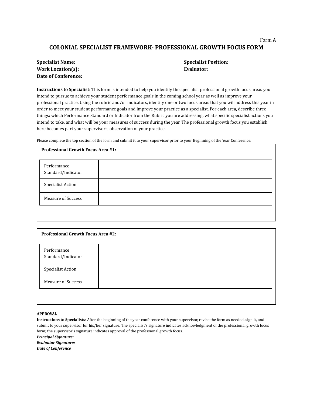#### Form A

### **COLONIAL SPECIALIST FRAMEWORK- PROFESSIONAL GROWTH FOCUS FORM**

| <b>Specialist Name:</b>  |
|--------------------------|
| <b>Work Location(s):</b> |
| Date of Conference:      |

#### **Specialist Name: Specialist Position:**  $E$ *Evaluator:*

**Instructions to Specialist**: This form is intended to help you identify the specialist professional growth focus areas you intend to pursue to achieve your student performance goals in the coming school year as well as improve your professional practice. Using the rubric and/or indicators, identify one or two focus areas that you will address this year in order to meet your student performance goals and improve your practice as a specialist. For each area, describe three things: which Performance Standard or Indicator from the Rubric you are addressing, what specific specialist actions you intend to take, and what will be your measures of success during the year. The professional growth focus you establish here becomes part your supervisor's observation of your practice.

Please complete the top section of the form and submit it to your supervisor prior to your Beginning of the Year Conference.

| <b>Professional Growth Focus Area #1:</b> |  |
|-------------------------------------------|--|
| Performance<br>Standard/Indicator         |  |
| <b>Specialist Action</b>                  |  |
| <b>Measure of Success</b>                 |  |
|                                           |  |

| <b>Professional Growth Focus Area #2:</b> |  |
|-------------------------------------------|--|
| Performance<br>Standard/Indicator         |  |
| Specialist Action                         |  |
| <b>Measure of Success</b>                 |  |
|                                           |  |

#### **APPROVAL**

**Instructions to Specialists**: After the beginning of the year conference with your supervisor, revise the form as needed, sign it, and submit to your supervisor for his/her signature. The specialist's signature indicates acknowledgment of the professional growth focus form; the supervisor's signature indicates approval of the professional growth focus.

*Principal Signature:*

*Evaluator Signature:*

*Date of Conference*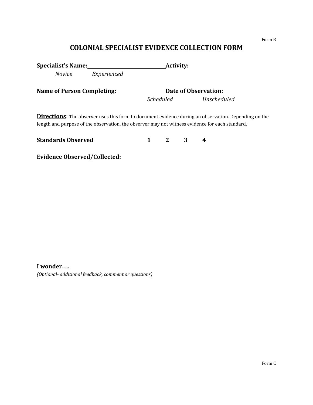#### Form B

# **COLONIAL SPECIALIST EVIDENCE COLLECTION FORM**

Specialist's Name:<br>
<u>Activity:</u>

*Novice Experienced*

**Name of Person Completing:** Date of Observation:

*Scheduled Unscheduled*

**Directions**: The observer uses this form to document evidence during an observation. Depending on the length and purpose of the observation, the observer may not witness evidence for each standard.

| <b>Standards Observed</b> |  |  |
|---------------------------|--|--|
|                           |  |  |

**Evidence Observed/Collected:**

**I wonder….**

*(Optional- additional feedback, comment or questions)*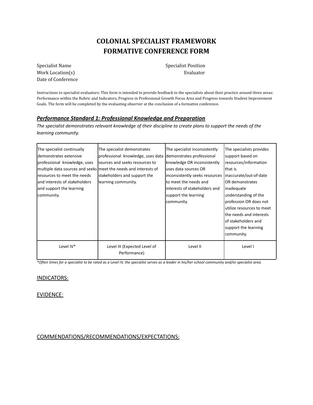# **COLONIAL SPECIALIST FRAMEWORK FORMATIVE CONFERENCE FORM**

Specialist Name Specialist Position Work Location(s) Evaluator Date of Conference

Instructions to specialist evaluators: This form is intended to provide feedback to the specialists about their practice around three areas: Performance within the Rubric and Indicators, Progress in Professional Growth Focus Area and Progress towards Student Improvement Goals. The form will be completed by the evaluating observer at the conclusion of a formative conference.

### *Performance Standard 1: Professional Knowledge and Preparation*

The specialist demonstrates relevant knowledge of their discipline to create plans to support the needs of the *learning community.*

| The specialist continually<br>Idemonstrates extensive<br>professional knowledge, uses<br><b>I</b> resources to meet the needs<br>land interests of stakeholders<br>and support the learning<br>community. | The specialist demonstrates<br>professional knowledge, uses data<br>sources and seeks resources to<br>multiple data sources and seeks meet the needs and interests of<br>stakeholders and support the<br>learning community. | The specialist inconsistently<br>demonstrates professional<br>knowledge OR inconsistently<br>uses data sources OR<br>inconsistently seeks resources<br>lto meet the needs and<br>linterests of stakeholders and<br>support the learning<br>community. | The specialists provides<br>support based on<br>resources/information<br>Ithat is<br>inaccurate/out-of-date<br>OR demonstrates<br>inadequate<br>understanding of the<br>profession OR does not<br>utilize resources to meet<br>the needs and interests<br>of stakeholders and |
|-----------------------------------------------------------------------------------------------------------------------------------------------------------------------------------------------------------|------------------------------------------------------------------------------------------------------------------------------------------------------------------------------------------------------------------------------|-------------------------------------------------------------------------------------------------------------------------------------------------------------------------------------------------------------------------------------------------------|-------------------------------------------------------------------------------------------------------------------------------------------------------------------------------------------------------------------------------------------------------------------------------|
|                                                                                                                                                                                                           |                                                                                                                                                                                                                              |                                                                                                                                                                                                                                                       | support the learning<br>community.                                                                                                                                                                                                                                            |
| Level IV*                                                                                                                                                                                                 | Level III (Expected Level of<br>Performance)                                                                                                                                                                                 | Level II                                                                                                                                                                                                                                              | Level I                                                                                                                                                                                                                                                                       |

\*Often times for a specialist to be rated as a Level IV, the specialist serves as a leader in his/her school community and/or specialist area.

#### INDICATORS:

#### EVIDENCE:

#### COMMENDATIONS/RECOMMENDATIONS/EXPECTATIONS: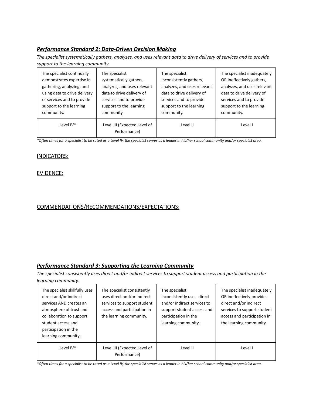### *Performance Standard 2: Data-Driven Decision Making*

The specialist systematically gathers, analyzes, and uses relevant data to drive delivery of services and to provide *support to the learning community.*

| The specialist continually   | The specialist                               | The specialist              | The specialist inadequately |
|------------------------------|----------------------------------------------|-----------------------------|-----------------------------|
| demonstrates expertise in    | systematically gathers,                      | inconsistently gathers,     | OR ineffectively gathers,   |
| gathering, analyzing, and    | analyzes, and uses relevant                  | analyzes, and uses relevant | analyzes, and uses relevant |
| using data to drive delivery | data to drive delivery of                    | data to drive delivery of   | data to drive delivery of   |
| of services and to provide   | services and to provide                      | services and to provide     | services and to provide     |
| support to the learning      | support to the learning                      | support to the learning     | support to the learning     |
| community.                   | community.                                   | community.                  | community.                  |
| Level IV*                    | Level III (Expected Level of<br>Performance) | Level II                    | Level I                     |

\*Often times for a specialist to be rated as a Level IV, the specialist serves as a leader in his/her school community and/or specialist area.

### INDICATORS:

### EVIDENCE:

### COMMENDATIONS/RECOMMENDATIONS/EXPECTATIONS:

### *Performance Standard 3: Supporting the Learning Community*

The specialist consistently uses direct and/or indirect services to support student access and participation in the *learning community.*

| The specialist skillfully uses<br>direct and/or indirect<br>services AND creates an<br>atmosphere of trust and<br>collaboration to support<br>student access and<br>participation in the<br>learning community. | The specialist consistently<br>uses direct and/or indirect<br>services to support student<br>access and participation in<br>the learning community. | The specialist<br>inconsistently uses direct<br>and/or indirect services to<br>support student access and<br>participation in the<br>learning community. | The specialist inadequately<br>OR ineffectively provides<br>direct and/or indirect<br>services to support student<br>access and participation in<br>the learning community. |
|-----------------------------------------------------------------------------------------------------------------------------------------------------------------------------------------------------------------|-----------------------------------------------------------------------------------------------------------------------------------------------------|----------------------------------------------------------------------------------------------------------------------------------------------------------|-----------------------------------------------------------------------------------------------------------------------------------------------------------------------------|
| Level IV*                                                                                                                                                                                                       | Level III (Expected Level of<br>Performance)                                                                                                        | Level II                                                                                                                                                 | Level I                                                                                                                                                                     |

\*Often times for a specialist to be rated as a Level IV, the specialist serves as a leader in his/her school community and/or specialist area.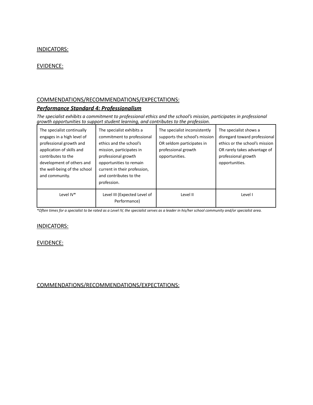### INDICATORS:

### EVIDENCE:

### COMMENDATIONS/RECOMMENDATIONS/EXPECTATIONS:

### *Performance Standard 4: Professionalism*

*The specialist exhibits a commitment to professional ethics and the school's mission, participates in professional growth opportunities to support student learning, and contributes to the profession.*

| The specialist continually<br>engages in a high level of<br>professional growth and<br>application of skills and<br>contributes to the<br>development of others and<br>the well-being of the school | The specialist exhibits a<br>commitment to professional<br>ethics and the school's<br>mission, participates in<br>professional growth<br>opportunities to remain<br>current in their profession, | The specialist inconsistently<br>supports the school's mission<br>OR seldom participates in<br>professional growth<br>opportunities. | The specialist shows a<br>disregard toward professional<br>ethics or the school's mission<br>OR rarely takes advantage of<br>professional growth<br>opportunities. |
|-----------------------------------------------------------------------------------------------------------------------------------------------------------------------------------------------------|--------------------------------------------------------------------------------------------------------------------------------------------------------------------------------------------------|--------------------------------------------------------------------------------------------------------------------------------------|--------------------------------------------------------------------------------------------------------------------------------------------------------------------|
| and community.                                                                                                                                                                                      | and contributes to the<br>profession.                                                                                                                                                            |                                                                                                                                      |                                                                                                                                                                    |
| Level IV*                                                                                                                                                                                           | Level III (Expected Level of<br>Performance)                                                                                                                                                     | Level II                                                                                                                             | Level I                                                                                                                                                            |

\*Often times for a specialist to be rated as a Level IV, the specialist serves as a leader in his/her school community and/or specialist area.

#### INDICATORS:

### EVIDENCE:

#### COMMENDATIONS/RECOMMENDATIONS/EXPECTATIONS: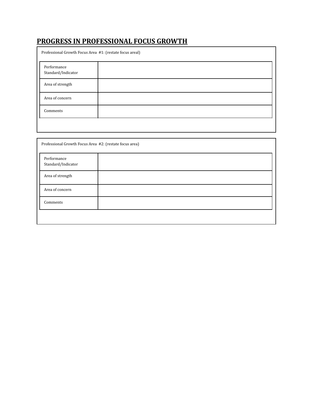# **PROGRESS IN PROFESSIONAL FOCUS GROWTH**

| Professional Growth Focus Area #1: (restate focus areal) |  |  |
|----------------------------------------------------------|--|--|
| Performance<br>Standard/Indicator                        |  |  |
| Area of strength                                         |  |  |
| Area of concern                                          |  |  |
| Comments                                                 |  |  |
|                                                          |  |  |

| Professional Growth Focus Area #2: (restate focus area) |  |  |
|---------------------------------------------------------|--|--|
| Performance<br>Standard/Indicator                       |  |  |
| Area of strength                                        |  |  |
| Area of concern                                         |  |  |
| Comments                                                |  |  |
|                                                         |  |  |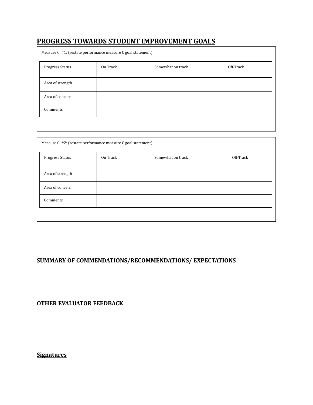# **PROGRESS TOWARDS STUDENT IMPROVEMENT GOALS**

| Measure C #1: (restate performance measure C goal statement) |          |                   |           |
|--------------------------------------------------------------|----------|-------------------|-----------|
| Progress Status                                              | On Track | Somewhat on track | Off-Track |
| Area of strength                                             |          |                   |           |
| Area of concern                                              |          |                   |           |
| Comments                                                     |          |                   |           |
|                                                              |          |                   |           |

| Measure C #2: (restate performance measure C goal statement) |          |                   |           |
|--------------------------------------------------------------|----------|-------------------|-----------|
| Progress Status                                              | On Track | Somewhat on track | Off-Track |
| Area of strength                                             |          |                   |           |
| Area of concern                                              |          |                   |           |
| Comments                                                     |          |                   |           |
|                                                              |          |                   |           |

### **SUMMARY OF COMMENDATIONS/RECOMMENDATIONS/ EXPECTATIONS**

**OTHER EVALUATOR FEEDBACK**

**Signatures**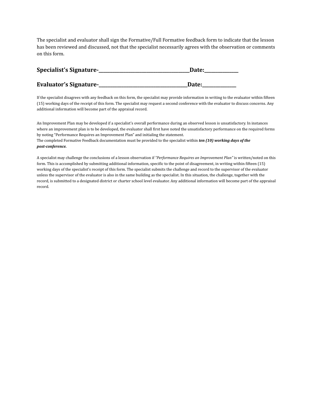The specialist and evaluator shall sign the Formative/Full Formative feedback form to indicate that the lesson has been reviewed and discussed, not that the specialist necessarily agrees with the observation or comments on this form.

| Specialist's Signature-       | Date: |
|-------------------------------|-------|
| <b>Evaluator's Signature-</b> | Date: |

If the specialist disagrees with any feedback on this form, the specialist may provide information in writing to the evaluator within fifteen (15) working days of the receipt of this form. The specialist may request a second conference with the evaluator to discuss concerns. Any additional information will become part of the appraisal record.

An Improvement Plan may be developed if a specialist's overall performance during an observed lesson is unsatisfactory. In instances where an improvement plan is to be developed, the evaluator shall first have noted the unsatisfactory performance on the required forms by noting "Performance Requires an Improvement Plan" and initialing the statement. The completed Formative Feedback documentation must be provided to the specialist within *ten (10) working days of the post-conference.*

A specialist may challenge the conclusions of a lesson observation if *"Performance Requires an Improvement Plan"* is written/noted on this form. This is accomplished by submitting additional information, specific to the point of disagreement, in writing within fifteen (15) working days of the specialist's receipt of this form. The specialist submits the challenge and record to the supervisor of the evaluator unless the supervisor of the evaluator is also in the same building as the specialist. In this situation, the challenge, together with the record, is submitted to a designated district or charter school level evaluator. Any additional information will become part of the appraisal record.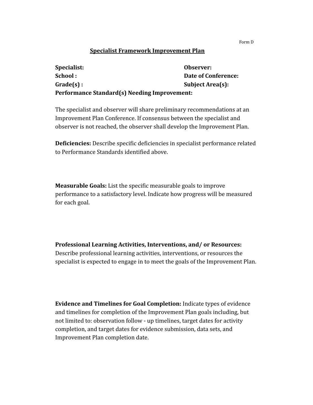### **Specialist Framework Improvement Plan**

| Specialist:                                  | Observer:               |
|----------------------------------------------|-------------------------|
| School:                                      | Date of Conference:     |
| $Grade(s)$ :                                 | <b>Subject Area(s):</b> |
| Performance Standard(s) Needing Improvement: |                         |

The specialist and observer will share preliminary recommendations at an Improvement Plan Conference. If consensus between the specialist and observer is not reached, the observer shall develop the Improvement Plan.

**Deficiencies:** Describe specific deficiencies in specialist performance related to Performance Standards identified above.

**Measurable Goals:** List the specific measurable goals to improve performance to a satisfactory level. Indicate how progress will be measured for each goal.

**Professional Learning Activities, Interventions, and/ or Resources:** Describe professional learning activities, interventions, or resources the specialist is expected to engage in to meet the goals of the Improvement Plan.

**Evidence and Timelines for Goal Completion:** Indicate types of evidence and timelines for completion of the Improvement Plan goals including, but not limited to: observation follow - up timelines, target dates for activity completion, and target dates for evidence submission, data sets, and Improvement Plan completion date.

Form D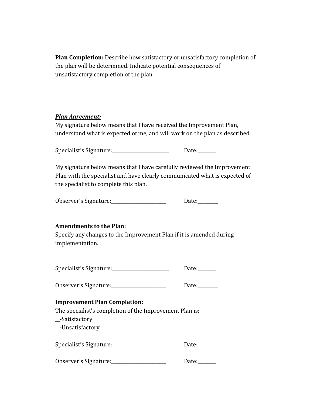**Plan Completion:** Describe how satisfactory or unsatisfactory completion of the plan will be determined. Indicate potential consequences of unsatisfactory completion of the plan.

# *Plan Agreement:*

My signature below means that I have received the Improvement Plan, understand what is expected of me, and will work on the plan as described.

Specialist's Signature: \_\_\_\_\_\_\_\_\_\_\_\_\_\_\_\_\_\_\_\_\_\_\_\_\_\_\_ Date: \_\_\_\_\_\_\_

My signature below means that I have carefully reviewed the Improvement Plan with the specialist and have clearly communicated what is expected of the specialist to complete this plan.

Observer's Signature:\_\_\_\_\_\_\_\_\_\_\_\_\_\_\_\_\_\_\_\_\_\_\_\_\_\_\_\_ Date:\_\_\_\_\_\_\_\_\_

# **Amendments to the Plan:**

Specify any changes to the Improvement Plan if it is amended during implementation.

Specialist's Signature: \_\_\_\_\_\_\_\_\_\_\_\_\_\_\_\_\_\_\_\_\_\_\_\_\_\_\_\_ Date: \_\_\_\_\_\_\_

Observer's Signature: \_\_\_\_\_\_\_\_\_\_\_\_\_\_\_\_\_\_\_\_\_\_\_\_\_\_\_\_ Date: \_\_\_\_\_\_\_\_

### **Improvement Plan Completion:**

The specialist's completion of the Improvement Plan is:

\_\_-Satisfactory

\_\_-Unsatisfactory

| Specialist's Signature: | Date: |
|-------------------------|-------|
|-------------------------|-------|

| Observer's Signature: | Date: |
|-----------------------|-------|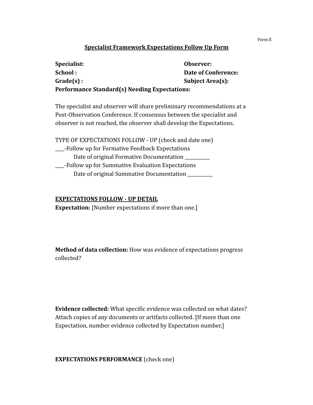### **Specialist Framework Expectations Follow Up Form**

| Specialist:                                          | Observer:                  |
|------------------------------------------------------|----------------------------|
| School:                                              | <b>Date of Conference:</b> |
| $Grade(s)$ :                                         | <b>Subject Area(s):</b>    |
| <b>Performance Standard(s) Needing Expectations:</b> |                            |

The specialist and observer will share preliminary recommendations at a Post-Observation Conference. If consensus between the specialist and observer is not reached, the observer shall develop the Expectations.

TYPE OF EXPECTATIONS FOLLOW - UP (check and date one) \_\_\_\_-Follow up for Formative Feedback Expectations Date of original Formative Documentation \_\_\_\_-Follow up for Summative Evaluation Expectations Date of original Summative Documentation \_\_\_\_\_\_\_\_

### **EXPECTATIONS FOLLOW - UP DETAIL**

**Expectation:** [Number expectations if more than one.]

**Method of data collection:** How was evidence of expectations progress collected?

**Evidence collected:** What specific evidence was collected on what dates? Attach copies of any documents or artifacts collected. [If more than one Expectation, number evidence collected by Expectation number.]

### **EXPECTATIONS PERFORMANCE** (check one)

Form E